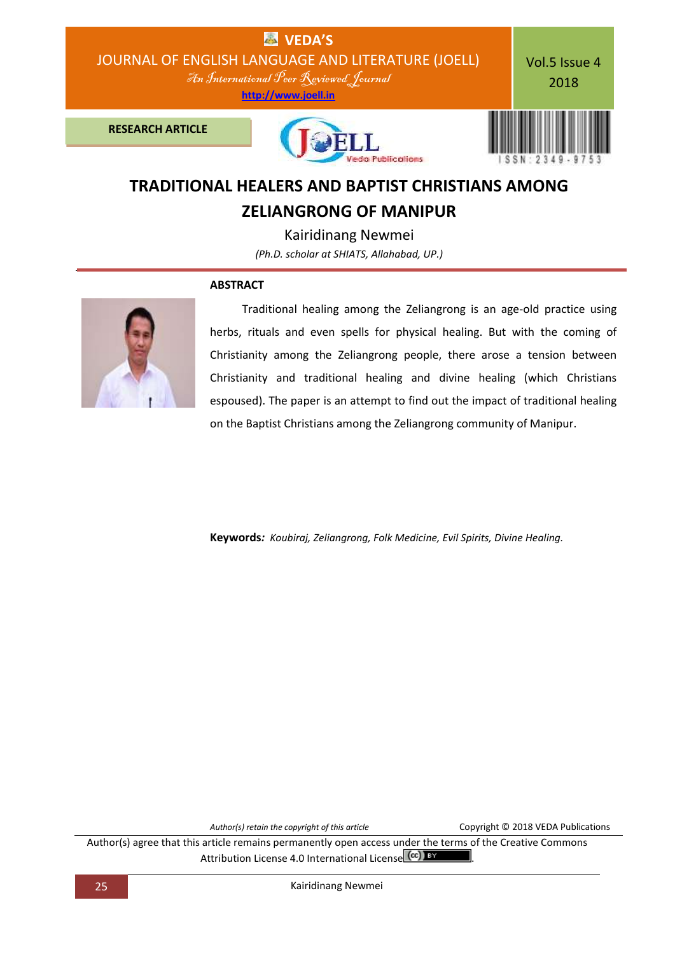

# **TRADITIONAL HEALERS AND BAPTIST CHRISTIANS AMONG ZELIANGRONG OF MANIPUR**

Kairidinang Newmei *(Ph.D. scholar at SHIATS, Allahabad, UP.)*

# **ABSTRACT**



Traditional healing among the Zeliangrong is an age-old practice using herbs, rituals and even spells for physical healing. But with the coming of Christianity among the Zeliangrong people, there arose a tension between Christianity and traditional healing and divine healing (which Christians espoused). The paper is an attempt to find out the impact of traditional healing on the Baptist Christians among the Zeliangrong community of Manipur.

**Keywords***: Koubiraj, Zeliangrong, Folk Medicine, Evil Spirits, Divine Healing.*

*Author(s) retain the copyright of this article* Copyright © 2018 VEDA Publications

Author(s) agree that this article remains permanently open access under the terms of the Creative Commons Attribution License 4.0 International License  $\left(\text{cc}\right)$  BY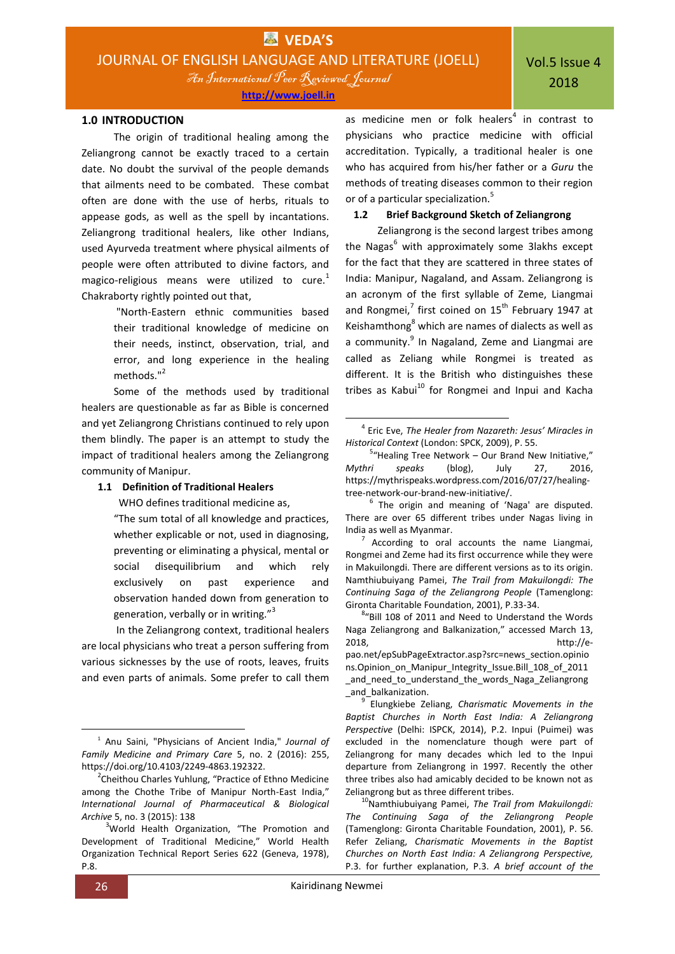An International Peer Reviewed Journal

**[http://www.joell.in](http://www.joell.in/)**

The origin of traditional healing among the Zeliangrong cannot be exactly traced to a certain date. No doubt the survival of the people demands that ailments need to be combated. These combat often are done with the use of herbs, rituals to appease gods, as well as the spell by incantations. Zeliangrong traditional healers, like other Indians, used Ayurveda treatment where physical ailments of people were often attributed to divine factors, and magico-religious means were utilized to cure.<sup>1</sup> Chakraborty rightly pointed out that,

> "North-Eastern ethnic communities based their traditional knowledge of medicine on their needs, instinct, observation, trial, and error, and long experience in the healing methods."<sup>2</sup>

Some of the methods used by traditional healers are questionable as far as Bible is concerned and yet Zeliangrong Christians continued to rely upon them blindly. The paper is an attempt to study the impact of traditional healers among the Zeliangrong community of Manipur.

## **1.1 Definition of Traditional Healers**

WHO defines traditional medicine as,

"The sum total of all knowledge and practices, whether explicable or not, used in diagnosing, preventing or eliminating a physical, mental or social disequilibrium and which rely exclusively on past experience and observation handed down from generation to generation, verbally or in writing."<sup>3</sup>

In the Zeliangrong context, traditional healers are local physicians who treat a person suffering from various sicknesses by the use of roots, leaves, fruits and even parts of animals. Some prefer to call them

**.** 

as medicine men or folk healers<sup>4</sup> in contrast to physicians who practice medicine with official accreditation. Typically, a traditional healer is one who has acquired from his/her father or a *Guru* the methods of treating diseases common to their region or of a particular specialization.<sup>5</sup>

## **1.2 Brief Background Sketch of Zeliangrong**

Zeliangrong is the second largest tribes among the Nagas<sup>6</sup> with approximately some 3lakhs except for the fact that they are scattered in three states of India: Manipur, Nagaland, and Assam. Zeliangrong is an acronym of the first syllable of Zeme, Liangmai and Rongmei, $^7$  first coined on  $15^{\text{th}}$  February 1947 at Keishamthong<sup>8</sup> which are names of dialects as well as a community.<sup>9</sup> In Nagaland, Zeme and Liangmai are called as Zeliang while Rongmei is treated as different. It is the British who distinguishes these tribes as Kabui $^{10}$  for Rongmei and Inpui and Kacha

7 According to oral accounts the name Liangmai, Rongmei and Zeme had its first occurrence while they were in Makuilongdi. There are different versions as to its origin. Namthiubuiyang Pamei, *The Trail from Makuilongdi: The Continuing Saga of the Zeliangrong People* (Tamenglong: Gironta Charitable Foundation, 2001), P.33-34.

9 Elungkiebe Zeliang, *Charismatic Movements in the Baptist Churches in North East India: A Zeliangrong Perspective* (Delhi: ISPCK, 2014), P.2. Inpui (Puimei) was excluded in the nomenclature though were part of Zeliangrong for many decades which led to the Inpui departure from Zeliangrong in 1997. Recently the other three tribes also had amicably decided to be known not as Zeliangrong but as three different tribes.

<sup>10</sup>Namthiubuiyang Pamei, *The Trail from Makuilongdi: The Continuing Saga of the Zeliangrong People* (Tamenglong: Gironta Charitable Foundation, 2001), P. 56. Refer Zeliang, *Charismatic Movements in the Baptist Churches on North East India: A Zeliangrong Perspective,* P.3. for further explanation, P.3. *A brief account of the* 

 $\overline{a}$ 

<sup>1</sup> Anu Saini, "Physicians of Ancient India," *Journal of Family Medicine and Primary Care* 5, no. 2 (2016): 255, https://doi.org/10.4103/2249-4863.192322.

<sup>&</sup>lt;sup>2</sup>Cheithou Charles Yuhlung, "Practice of Ethno Medicine among the Chothe Tribe of Manipur North-East India," *International Journal of Pharmaceutical & Biological Archive* 5, no. 3 (2015): 138

<sup>&</sup>lt;sup>3</sup>World Health Organization, "The Promotion and Development of Traditional Medicine," World Health Organization Technical Report Series 622 (Geneva, 1978), P.8.

<sup>4</sup> Eric Eve, *The Healer from Nazareth: Jesus' Miracles in Historical Context* (London: SPCK, 2009), P. 55.

<sup>&</sup>lt;sup>5</sup>"Healing Tree Network - Our Brand New Initiative," *Mythri speaks* (blog), July 27, 2016, https://mythrispeaks.wordpress.com/2016/07/27/healingtree-network-our-brand-new-initiative/.

 $6$  The origin and meaning of 'Naga' are disputed. There are over 65 different tribes under Nagas living in India as well as Myanmar.

<sup>&</sup>lt;sup>8</sup>"Bill 108 of 2011 and Need to Understand the Words Naga Zeliangrong and Balkanization," accessed March 13, 2018, http://epao.net/epSubPageExtractor.asp?src=news\_section.opinio ns.Opinion\_on\_Manipur\_Integrity\_Issue.Bill\_108\_of\_2011 and need to understand the words Naga Zeliangrong \_and\_balkanization.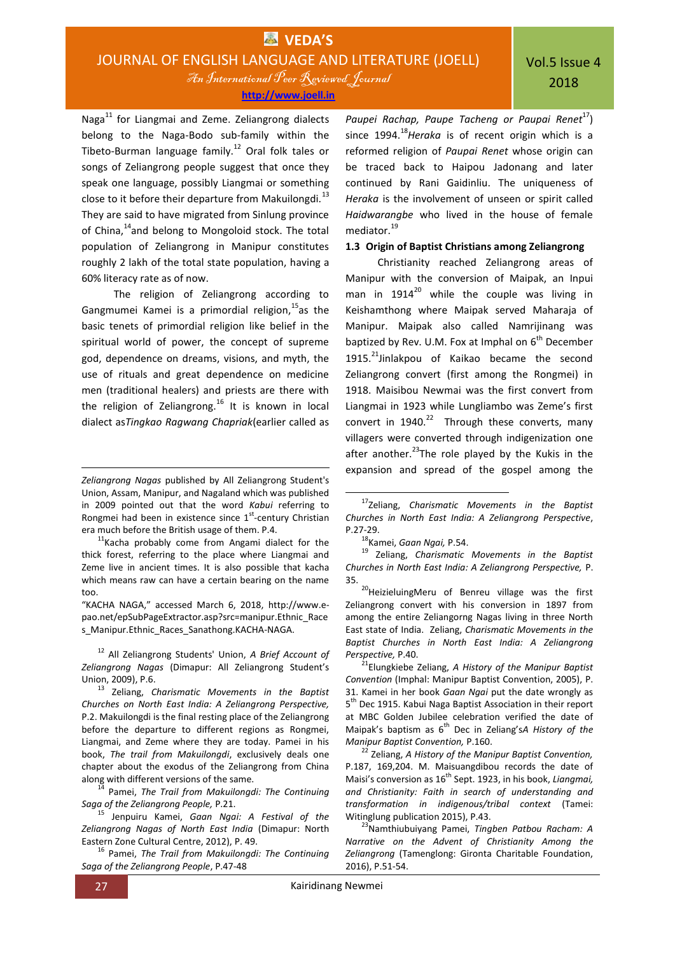Naga<sup>11</sup> for Liangmai and Zeme. Zeliangrong dialects belong to the Naga-Bodo sub-family within the Tibeto-Burman language family.<sup>12</sup> Oral folk tales or songs of Zeliangrong people suggest that once they speak one language, possibly Liangmai or something close to it before their departure from Makuilongdi.<sup>13</sup> They are said to have migrated from Sinlung province of China,<sup>14</sup>and belong to Mongoloid stock. The total population of Zeliangrong in Manipur constitutes roughly 2 lakh of the total state population, having a 60% literacy rate as of now.

The religion of Zeliangrong according to Gangmumei Kamei is a primordial religion,  $15$  as the basic tenets of primordial religion like belief in the spiritual world of power, the concept of supreme god, dependence on dreams, visions, and myth, the use of rituals and great dependence on medicine men (traditional healers) and priests are there with the religion of Zeliangrong.<sup>16</sup> It is known in local dialect as*Tingkao Ragwang Chapriak*(earlier called as

 $11$ Kacha probably come from Angami dialect for the thick forest, referring to the place where Liangmai and Zeme live in ancient times. It is also possible that kacha which means raw can have a certain bearing on the name too.

"KACHA NAGA," accessed March 6, 2018, http://www.epao.net/epSubPageExtractor.asp?src=manipur.Ethnic\_Race s\_Manipur.Ethnic\_Races\_Sanathong.KACHA-NAGA.

<sup>12</sup> All Zeliangrong Students' Union, *A Brief Account of Zeliangrong Nagas* (Dimapur: All Zeliangrong Student's Union, 2009), P.6.

<sup>14</sup> Pamei, *The Trail from Makuilongdi: The Continuing Saga of the Zeliangrong People,* P.21.

<sup>15</sup> Jenpuiru Kamei, *Gaan Ngai: A Festival of the Zeliangrong Nagas of North East India* (Dimapur: North Eastern Zone Cultural Centre, 2012), P. 49.

<sup>16</sup> Pamei, *The Trail from Makuilongdi: The Continuing Saga of the Zeliangrong People*, P.47-48

*Paupei Rachap, Paupe Tacheng or Paupai Renet<sup>17</sup>)* since 1994.<sup>18</sup>*Heraka* is of recent origin which is a reformed religion of *Paupai Renet* whose origin can be traced back to Haipou Jadonang and later continued by Rani Gaidinliu. The uniqueness of *Heraka* is the involvement of unseen or spirit called *Haidwarangbe* who lived in the house of female mediator.<sup>19</sup>

# **1.3 Origin of Baptist Christians among Zeliangrong**

Christianity reached Zeliangrong areas of Manipur with the conversion of Maipak, an Inpui man in  $1914^{20}$  while the couple was living in Keishamthong where Maipak served Maharaja of Manipur. Maipak also called Namrijinang was baptized by Rev. U.M. Fox at Imphal on  $6<sup>th</sup>$  December 1915.<sup>21</sup>Jinlakpou of Kaikao became the second Zeliangrong convert (first among the Rongmei) in 1918. Maisibou Newmai was the first convert from Liangmai in 1923 while Lungliambo was Zeme's first convert in  $1940.<sup>22</sup>$  Through these converts, many villagers were converted through indigenization one after another. $^{23}$ The role played by the Kukis in the expansion and spread of the gospel among the

1

<sup>20</sup>HeizieluingMeru of Benreu village was the first Zeliangrong convert with his conversion in 1897 from among the entire Zeliangorng Nagas living in three North East state of India. Zeliang, *Charismatic Movements in the Baptist Churches in North East India: A Zeliangrong Perspective,* P.40.

<sup>21</sup>Elungkiebe Zeliang, *A History of the Manipur Baptist Convention* (Imphal: Manipur Baptist Convention, 2005), P. 31. Kamei in her book *Gaan Ngai* put the date wrongly as 5<sup>th</sup> Dec 1915. Kabui Naga Baptist Association in their report at MBC Golden Jubilee celebration verified the date of Maipak's baptism as 6th Dec in Zeliang's*A History of the Manipur Baptist Convention,* P.160.

<sup>22</sup> Zeliang, *A History of the Manipur Baptist Convention,* P.187, 169,204. M. Maisuangdibou records the date of Maisi's conversion as 16<sup>th</sup> Sept. 1923, in his book, *Liangmai*, *and Christianity: Faith in search of understanding and transformation in indigenous/tribal context* (Tamei: Witinglung publication 2015), P.43.

<sup>23</sup>Namthiubuiyang Pamei, *Tingben Patbou Racham: A Narrative on the Advent of Christianity Among the Zeliangrong* (Tamenglong: Gironta Charitable Foundation, 2016), P.51-54.

*Zeliangrong Nagas* published by All Zeliangrong Student's Union, Assam, Manipur, and Nagaland which was published in 2009 pointed out that the word *Kabui* referring to Rongmei had been in existence since  $1<sup>st</sup>$ -century Christian era much before the British usage of them. P.4.

<sup>13</sup> Zeliang, *Charismatic Movements in the Baptist Churches on North East India: A Zeliangrong Perspective,* P.2. Makuilongdi is the final resting place of the Zeliangrong before the departure to different regions as Rongmei, Liangmai, and Zeme where they are today. Pamei in his book, *The trail from Makuilongdi*, exclusively deals one chapter about the exodus of the Zeliangrong from China along with different versions of the same.

<sup>17</sup>Zeliang, *Charismatic Movements in the Baptist Churches in North East India: A Zeliangrong Perspective*, P.27-29.

<sup>18</sup>Kamei, *Gaan Ngai,* P.54.

<sup>19</sup> Zeliang, *Charismatic Movements in the Baptist Churches in North East India: A Zeliangrong Perspective,* P. 35.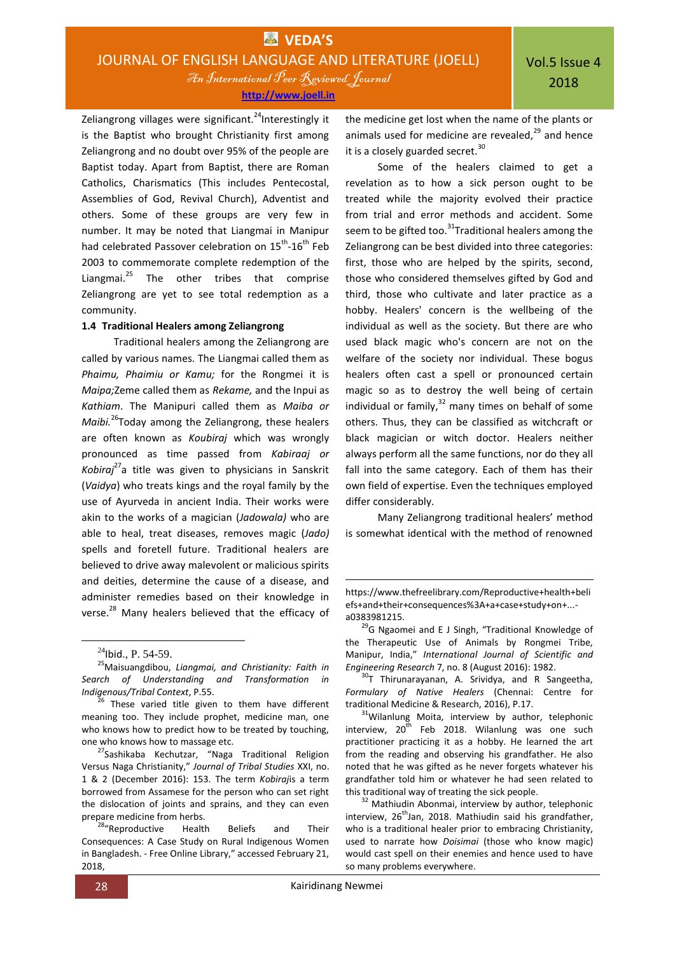Vol.5 Issue 4 2018

Zeliangrong villages were significant.<sup>24</sup>Interestingly it is the Baptist who brought Christianity first among Zeliangrong and no doubt over 95% of the people are Baptist today. Apart from Baptist, there are Roman Catholics, Charismatics (This includes Pentecostal, Assemblies of God, Revival Church), Adventist and others. Some of these groups are very few in number. It may be noted that Liangmai in Manipur had celebrated Passover celebration on 15<sup>th</sup>-16<sup>th</sup> Feb 2003 to commemorate complete redemption of the Liangmai. $^{25}$  The other tribes that comprise Zeliangrong are yet to see total redemption as a community.

#### **1.4 Traditional Healers among Zeliangrong**

Traditional healers among the Zeliangrong are called by various names. The Liangmai called them as *Phaimu, Phaimiu or Kamu;* for the Rongmei it is *Maipa;*Zeme called them as *Rekame,* and the Inpui as *Kathiam*. The Manipuri called them as *Maiba or Maibi.*<sup>26</sup>Today among the Zeliangrong, these healers are often known as *Koubiraj* which was wrongly pronounced as time passed from *Kabiraaj or Kobiraj*<sup>27</sup>a title was given to physicians in Sanskrit (*Vaidya*) who treats kings and the royal family by the use of Ayurveda in ancient India. Their works were akin to the works of a magician (*Jadowala)* who are able to heal, treat diseases, removes magic (*Jado)* spells and foretell future. Traditional healers are believed to drive away malevolent or malicious spirits and deities, determine the cause of a disease, and administer remedies based on their knowledge in verse.<sup>28</sup> Many healers believed that the efficacy of

**.** 

<sup>27</sup>Sashikaba Kechutzar, "Naga Traditional Religion Versus Naga Christianity," *Journal of Tribal Studies* XXI, no. 1 & 2 (December 2016): 153. The term *Kobiraj*is a term borrowed from Assamese for the person who can set right the dislocation of joints and sprains, and they can even prepare medicine from herbs.

<sup>28</sup>"Reproductive Health Beliefs and Their Consequences: A Case Study on Rural Indigenous Women in Bangladesh. - Free Online Library," accessed February 21, 2018,

the medicine get lost when the name of the plants or animals used for medicine are revealed, $^{29}$  and hence it is a closely guarded secret.<sup>30</sup>

Some of the healers claimed to get a revelation as to how a sick person ought to be treated while the majority evolved their practice from trial and error methods and accident. Some seem to be gifted too.<sup>31</sup>Traditional healers among the Zeliangrong can be best divided into three categories: first, those who are helped by the spirits, second, those who considered themselves gifted by God and third, those who cultivate and later practice as a hobby. Healers' concern is the wellbeing of the individual as well as the society. But there are who used black magic who's concern are not on the welfare of the society nor individual. These bogus healers often cast a spell or pronounced certain magic so as to destroy the well being of certain individual or family, $32$  many times on behalf of some others. Thus, they can be classified as witchcraft or black magician or witch doctor. Healers neither always perform all the same functions, nor do they all fall into the same category. Each of them has their own field of expertise. Even the techniques employed differ considerably.

Many Zeliangrong traditional healers' method is somewhat identical with the method of renowned

 $\overline{a}$ 

 $^{24}$ Ibid., P. 54-59.

<sup>25</sup>Maisuangdibou, *Liangmai, and Christianity: Faith in Search of Understanding and Transformation in Indigenous/Tribal Context*, P.55.

 $^{26}$  These varied title given to them have different meaning too. They include prophet, medicine man, one who knows how to predict how to be treated by touching, one who knows how to massage etc.

https://www.thefreelibrary.com/Reproductive+health+beli efs+and+their+consequences%3A+a+case+study+on+... a0383981215.

 $^{29}$ G Ngaomei and E J Singh, "Traditional Knowledge of the Therapeutic Use of Animals by Rongmei Tribe, Manipur, India," *International Journal of Scientific and Engineering Research* 7, no. 8 (August 2016): 1982.

 $30$ T Thirunarayanan, A. Srividya, and R Sangeetha, *Formulary of Native Healers* (Chennai: Centre for traditional Medicine & Research, 2016), P.17.

 $31$ Wilanlung Moita, interview by author, telephonic interview,  $20^{\bar{t}h}$  Feb 2018. Wilanlung was one such practitioner practicing it as a hobby. He learned the art from the reading and observing his grandfather. He also noted that he was gifted as he never forgets whatever his grandfather told him or whatever he had seen related to this traditional way of treating the sick people.

<sup>&</sup>lt;sup>32</sup> Mathiudin Abonmai, interview by author, telephonic interview,  $26<sup>th</sup>$ Jan, 2018. Mathiudin said his grandfather, who is a traditional healer prior to embracing Christianity, used to narrate how *Doisimai* (those who know magic) would cast spell on their enemies and hence used to have so many problems everywhere.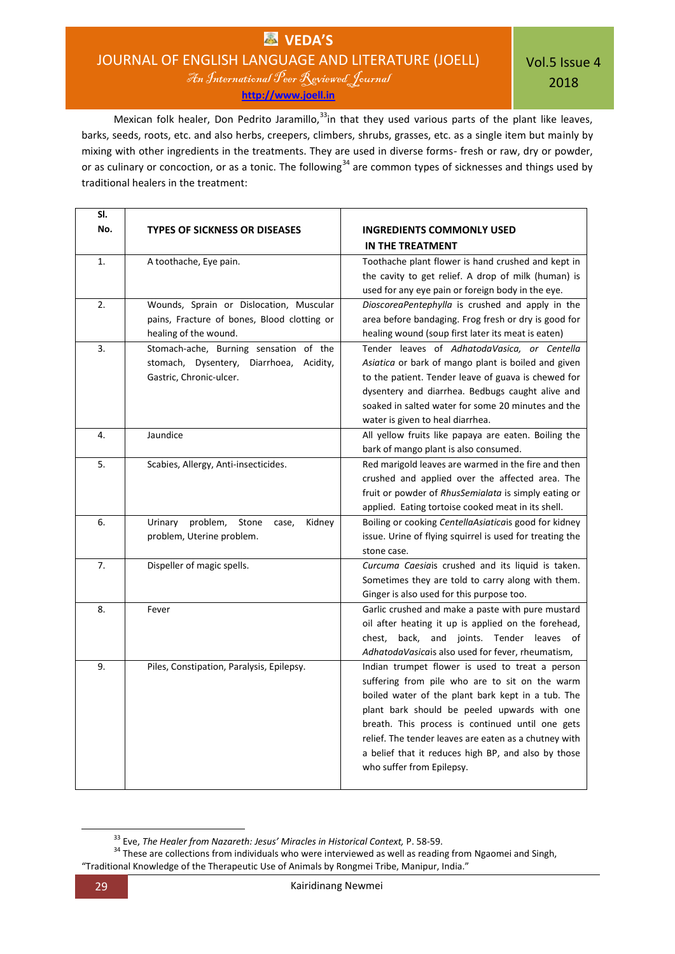# **VEDA'S** JOURNAL OF ENGLISH LANGUAGE AND LITERATURE (JOELL)

An International Peer Reviewed Journal **[http://www.joell.in](http://www.joell.in/)**

Vol.5 Issue 4 2018

Mexican folk healer, Don Pedrito Jaramillo,<sup>33</sup>in that they used various parts of the plant like leaves, barks, seeds, roots, etc. and also herbs, creepers, climbers, shrubs, grasses, etc. as a single item but mainly by mixing with other ingredients in the treatments. They are used in diverse forms- fresh or raw, dry or powder, or as culinary or concoction, or as a tonic. The following<sup>34</sup> are common types of sicknesses and things used by traditional healers in the treatment:

| SI. |                                                                                                              |                                                                                                                                                                                                                                                                                                                                                                                                         |
|-----|--------------------------------------------------------------------------------------------------------------|---------------------------------------------------------------------------------------------------------------------------------------------------------------------------------------------------------------------------------------------------------------------------------------------------------------------------------------------------------------------------------------------------------|
| No. | <b>TYPES OF SICKNESS OR DISEASES</b>                                                                         | <b>INGREDIENTS COMMONLY USED</b>                                                                                                                                                                                                                                                                                                                                                                        |
|     |                                                                                                              | IN THE TREATMENT                                                                                                                                                                                                                                                                                                                                                                                        |
| 1.  | A toothache, Eye pain.                                                                                       | Toothache plant flower is hand crushed and kept in<br>the cavity to get relief. A drop of milk (human) is<br>used for any eye pain or foreign body in the eye.                                                                                                                                                                                                                                          |
| 2.  | Wounds, Sprain or Dislocation, Muscular                                                                      | DioscoreaPentephylla is crushed and apply in the                                                                                                                                                                                                                                                                                                                                                        |
|     | pains, Fracture of bones, Blood clotting or<br>healing of the wound.                                         | area before bandaging. Frog fresh or dry is good for<br>healing wound (soup first later its meat is eaten)                                                                                                                                                                                                                                                                                              |
| 3.  | Stomach-ache, Burning sensation of the<br>stomach, Dysentery, Diarrhoea, Acidity,<br>Gastric, Chronic-ulcer. | Tender leaves of AdhatodaVasica, or Centella<br>Asiatica or bark of mango plant is boiled and given<br>to the patient. Tender leave of guava is chewed for<br>dysentery and diarrhea. Bedbugs caught alive and<br>soaked in salted water for some 20 minutes and the<br>water is given to heal diarrhea.                                                                                                |
| 4.  | Jaundice                                                                                                     | All yellow fruits like papaya are eaten. Boiling the<br>bark of mango plant is also consumed.                                                                                                                                                                                                                                                                                                           |
| 5.  | Scabies, Allergy, Anti-insecticides.                                                                         | Red marigold leaves are warmed in the fire and then<br>crushed and applied over the affected area. The<br>fruit or powder of RhusSemialata is simply eating or<br>applied. Eating tortoise cooked meat in its shell.                                                                                                                                                                                    |
| 6.  | problem,<br>Stone<br>Kidney<br>Urinary<br>case.<br>problem, Uterine problem.                                 | Boiling or cooking CentellaAsiaticais good for kidney<br>issue. Urine of flying squirrel is used for treating the<br>stone case.                                                                                                                                                                                                                                                                        |
| 7.  | Dispeller of magic spells.                                                                                   | Curcuma Caesiais crushed and its liquid is taken.<br>Sometimes they are told to carry along with them.<br>Ginger is also used for this purpose too.                                                                                                                                                                                                                                                     |
| 8.  | Fever                                                                                                        | Garlic crushed and make a paste with pure mustard<br>oil after heating it up is applied on the forehead,<br>chest, back, and joints. Tender leaves of<br>AdhatodaVasicais also used for fever, rheumatism,                                                                                                                                                                                              |
| 9.  | Piles, Constipation, Paralysis, Epilepsy.                                                                    | Indian trumpet flower is used to treat a person<br>suffering from pile who are to sit on the warm<br>boiled water of the plant bark kept in a tub. The<br>plant bark should be peeled upwards with one<br>breath. This process is continued until one gets<br>relief. The tender leaves are eaten as a chutney with<br>a belief that it reduces high BP, and also by those<br>who suffer from Epilepsy. |

<sup>33</sup> Eve, *The Healer from Nazareth: Jesus' Miracles in Historical Context,* P. 58-59.

<sup>&</sup>lt;sup>34</sup> These are collections from individuals who were interviewed as well as reading from Ngaomei and Singh, "Traditional Knowledge of the Therapeutic Use of Animals by Rongmei Tribe, Manipur, India."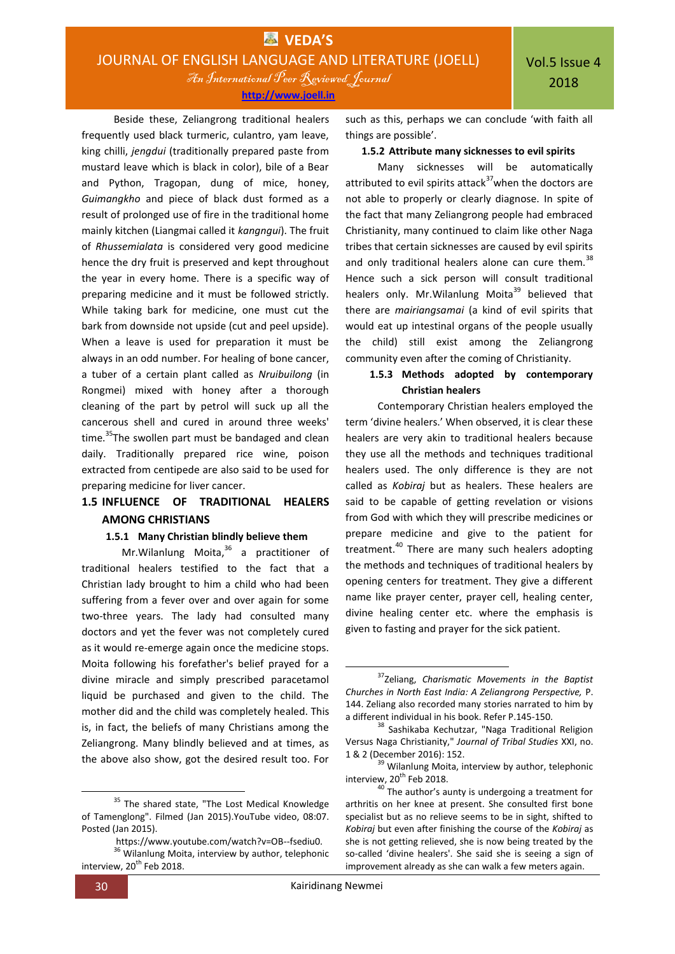An International Peer Reviewed Journal

**[http://www.joell.in](http://www.joell.in/)**

Beside these, Zeliangrong traditional healers frequently used black turmeric, culantro, yam leave, king chilli, *jengdui* (traditionally prepared paste from mustard leave which is black in color), bile of a Bear and Python, Tragopan, dung of mice, honey, *Guimangkho* and piece of black dust formed as a result of prolonged use of fire in the traditional home mainly kitchen (Liangmai called it *kangngui*). The fruit of *Rhussemialata* is considered very good medicine hence the dry fruit is preserved and kept throughout the year in every home. There is a specific way of preparing medicine and it must be followed strictly. While taking bark for medicine, one must cut the bark from downside not upside (cut and peel upside). When a leave is used for preparation it must be always in an odd number. For healing of bone cancer, a tuber of a certain plant called as *Nruibuilong* (in Rongmei) mixed with honey after a thorough cleaning of the part by petrol will suck up all the cancerous shell and cured in around three weeks' time.<sup>35</sup>The swollen part must be bandaged and clean daily. Traditionally prepared rice wine, poison extracted from centipede are also said to be used for preparing medicine for liver cancer.

# **1.5 INFLUENCE OF TRADITIONAL HEALERS AMONG CHRISTIANS**

## **1.5.1 Many Christian blindly believe them**

Mr.Wilanlung Moita, <sup>36</sup> a practitioner of traditional healers testified to the fact that a Christian lady brought to him a child who had been suffering from a fever over and over again for some two-three years. The lady had consulted many doctors and yet the fever was not completely cured as it would re-emerge again once the medicine stops. Moita following his forefather's belief prayed for a divine miracle and simply prescribed paracetamol liquid be purchased and given to the child. The mother did and the child was completely healed. This is, in fact, the beliefs of many Christians among the Zeliangrong. Many blindly believed and at times, as the above also show, got the desired result too. For

**.** 

such as this, perhaps we can conclude 'with faith all things are possible'.

#### **1.5.2 Attribute many sicknesses to evil spirits**

Many sicknesses will be automatically attributed to evil spirits attack $37$  when the doctors are not able to properly or clearly diagnose. In spite of the fact that many Zeliangrong people had embraced Christianity, many continued to claim like other Naga tribes that certain sicknesses are caused by evil spirits and only traditional healers alone can cure them.<sup>38</sup> Hence such a sick person will consult traditional healers only. Mr. Wilanlung Moita<sup>39</sup> believed that there are *mairiangsamai* (a kind of evil spirits that would eat up intestinal organs of the people usually the child) still exist among the Zeliangrong community even after the coming of Christianity.

# **1.5.3 Methods adopted by contemporary Christian healers**

Contemporary Christian healers employed the term 'divine healers.' When observed, it is clear these healers are very akin to traditional healers because they use all the methods and techniques traditional healers used. The only difference is they are not called as *Kobiraj* but as healers. These healers are said to be capable of getting revelation or visions from God with which they will prescribe medicines or prepare medicine and give to the patient for treatment.<sup>40</sup> There are many such healers adopting the methods and techniques of traditional healers by opening centers for treatment. They give a different name like prayer center, prayer cell, healing center, divine healing center etc. where the emphasis is given to fasting and prayer for the sick patient.

 $\overline{a}$ 

<sup>&</sup>lt;sup>35</sup> The shared state, "The Lost Medical Knowledge of Tamenglong". Filmed (Jan 2015).YouTube video, 08:07. Posted (Jan 2015).

https://www.youtube.com/watch?v=OB--fsediu0.

<sup>&</sup>lt;sup>36</sup> Wilanlung Moita, interview by author, telephonic interview, 20<sup>th</sup> Feb 2018.

<sup>37</sup>Zeliang, *Charismatic Movements in the Baptist Churches in North East India: A Zeliangrong Perspective,* P. 144. Zeliang also recorded many stories narrated to him by a different individual in his book. Refer P.145-150.

<sup>38</sup> Sashikaba Kechutzar, "Naga Traditional Religion Versus Naga Christianity," *Journal of Tribal Studies* XXI, no. 1 & 2 (December 2016): 152.

<sup>&</sup>lt;sup>39</sup> Wilanlung Moita, interview by author, telephonic interview,  $20^{th}$  Feb 2018.

 $40$ <sup>40</sup> The author's aunty is undergoing a treatment for arthritis on her knee at present. She consulted first bone specialist but as no relieve seems to be in sight, shifted to *Kobiraj* but even after finishing the course of the *Kobiraj* as she is not getting relieved, she is now being treated by the so-called 'divine healers'. She said she is seeing a sign of improvement already as she can walk a few meters again.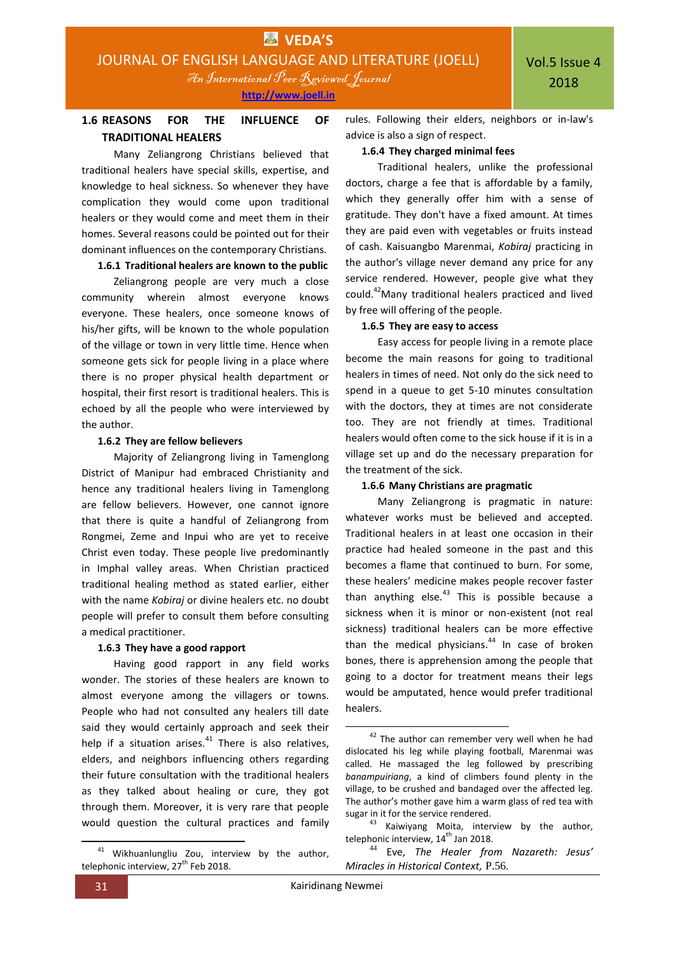# **1.6 REASONS FOR THE INFLUENCE OF TRADITIONAL HEALERS**

Many Zeliangrong Christians believed that traditional healers have special skills, expertise, and knowledge to heal sickness. So whenever they have complication they would come upon traditional healers or they would come and meet them in their homes. Several reasons could be pointed out for their dominant influences on the contemporary Christians.

**1.6.1 Traditional healers are known to the public**

Zeliangrong people are very much a close community wherein almost everyone knows everyone. These healers, once someone knows of his/her gifts, will be known to the whole population of the village or town in very little time. Hence when someone gets sick for people living in a place where there is no proper physical health department or hospital, their first resort is traditional healers. This is echoed by all the people who were interviewed by the author.

## **1.6.2 They are fellow believers**

Majority of Zeliangrong living in Tamenglong District of Manipur had embraced Christianity and hence any traditional healers living in Tamenglong are fellow believers. However, one cannot ignore that there is quite a handful of Zeliangrong from Rongmei, Zeme and Inpui who are yet to receive Christ even today. These people live predominantly in Imphal valley areas. When Christian practiced traditional healing method as stated earlier, either with the name *Kobiraj* or divine healers etc. no doubt people will prefer to consult them before consulting a medical practitioner.

# **1.6.3 They have a good rapport**

Having good rapport in any field works wonder. The stories of these healers are known to almost everyone among the villagers or towns. People who had not consulted any healers till date said they would certainly approach and seek their help if a situation arises. $41$  There is also relatives, elders, and neighbors influencing others regarding their future consultation with the traditional healers as they talked about healing or cure, they got through them. Moreover, it is very rare that people would question the cultural practices and family rules. Following their elders, neighbors or in-law's advice is also a sign of respect.

## **1.6.4 They charged minimal fees**

Traditional healers, unlike the professional doctors, charge a fee that is affordable by a family, which they generally offer him with a sense of gratitude. They don't have a fixed amount. At times they are paid even with vegetables or fruits instead of cash. Kaisuangbo Marenmai, *Kobiraj* practicing in the author's village never demand any price for any service rendered. However, people give what they could.<sup>42</sup>Many traditional healers practiced and lived by free will offering of the people.

## **1.6.5 They are easy to access**

Easy access for people living in a remote place become the main reasons for going to traditional healers in times of need. Not only do the sick need to spend in a queue to get 5-10 minutes consultation with the doctors, they at times are not considerate too. They are not friendly at times. Traditional healers would often come to the sick house if it is in a village set up and do the necessary preparation for the treatment of the sick.

# **1.6.6 Many Christians are pragmatic**

Many Zeliangrong is pragmatic in nature: whatever works must be believed and accepted. Traditional healers in at least one occasion in their practice had healed someone in the past and this becomes a flame that continued to burn. For some, these healers' medicine makes people recover faster than anything else. $43$  This is possible because a sickness when it is minor or non-existent (not real sickness) traditional healers can be more effective than the medical physicians.<sup>44</sup> In case of broken bones, there is apprehension among the people that going to a doctor for treatment means their legs would be amputated, hence would prefer traditional healers.

**<sup>.</sup>** <sup>41</sup> Wikhuanlungliu Zou, interview by the author, telephonic interview,  $27<sup>th</sup>$  Feb 2018.

<sup>&</sup>lt;sup>42</sup> The author can remember very well when he had dislocated his leg while playing football, Marenmai was called. He massaged the leg followed by prescribing *banampuiriang*, a kind of climbers found plenty in the village, to be crushed and bandaged over the affected leg. The author's mother gave him a warm glass of red tea with sugar in it for the service rendered.

 $43$  Kaiwiyang Moita, interview by the author, telephonic interview,  $14<sup>th</sup>$  Jan 2018.

<sup>44</sup> Eve, *The Healer from Nazareth: Jesus' Miracles in Historical Context,* P.56.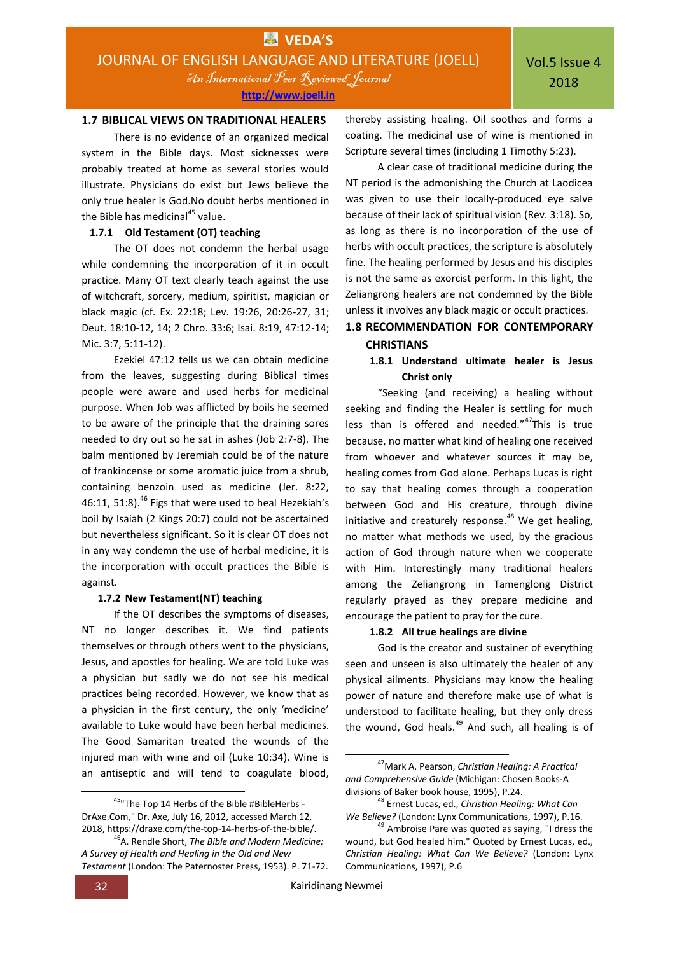An International Peer Reviewed Journal **[http://www.joell.in](http://www.joell.in/)**

## **1.7 BIBLICAL VIEWS ON TRADITIONAL HEALERS**

There is no evidence of an organized medical system in the Bible days. Most sicknesses were probably treated at home as several stories would illustrate. Physicians do exist but Jews believe the only true healer is God.No doubt herbs mentioned in the Bible has medicinal<sup>45</sup> value.

# **1.7.1 Old Testament (OT) teaching**

The OT does not condemn the herbal usage while condemning the incorporation of it in occult practice. Many OT text clearly teach against the use of witchcraft, sorcery, medium, spiritist, magician or black magic (cf. Ex. 22:18; Lev. 19:26, 20:26-27, 31; Deut. 18:10-12, 14; 2 Chro. 33:6; Isai. 8:19, 47:12-14; Mic. 3:7, 5:11-12).

Ezekiel 47:12 tells us we can obtain medicine from the leaves, suggesting during Biblical times people were aware and used herbs for medicinal purpose. When Job was afflicted by boils he seemed to be aware of the principle that the draining sores needed to dry out so he sat in ashes (Job 2:7-8). The balm mentioned by Jeremiah could be of the nature of frankincense or some aromatic juice from a shrub, containing benzoin used as medicine (Jer. 8:22, 46:11, 51:8).<sup>46</sup> Figs that were used to heal Hezekiah's boil by Isaiah (2 Kings 20:7) could not be ascertained but nevertheless significant. So it is clear OT does not in any way condemn the use of herbal medicine, it is the incorporation with occult practices the Bible is against.

#### **1.7.2 New Testament(NT) teaching**

If the OT describes the symptoms of diseases, NT no longer describes it. We find patients themselves or through others went to the physicians, Jesus, and apostles for healing. We are told Luke was a physician but sadly we do not see his medical practices being recorded. However, we know that as a physician in the first century, the only 'medicine' available to Luke would have been herbal medicines. The Good Samaritan treated the wounds of the injured man with wine and oil (Luke 10:34). Wine is an antiseptic and will tend to coagulate blood,

**.** 

thereby assisting healing. Oil soothes and forms a coating. The medicinal use of wine is mentioned in Scripture several times (including 1 Timothy 5:23).

A clear case of traditional medicine during the NT period is the admonishing the Church at Laodicea was given to use their locally-produced eye salve because of their lack of spiritual vision (Rev. 3:18). So, as long as there is no incorporation of the use of herbs with occult practices, the scripture is absolutely fine. The healing performed by Jesus and his disciples is not the same as exorcist perform. In this light, the Zeliangrong healers are not condemned by the Bible unless it involves any black magic or occult practices.

# **1.8 RECOMMENDATION FOR CONTEMPORARY CHRISTIANS**

## **1.8.1 Understand ultimate healer is Jesus Christ only**

"Seeking (and receiving) a healing without seeking and finding the Healer is settling for much less than is offered and needed."<sup>47</sup>This is true because, no matter what kind of healing one received from whoever and whatever sources it may be, healing comes from God alone. Perhaps Lucas is right to say that healing comes through a cooperation between God and His creature, through divine initiative and creaturely response. $48$  We get healing, no matter what methods we used, by the gracious action of God through nature when we cooperate with Him. Interestingly many traditional healers among the Zeliangrong in Tamenglong District regularly prayed as they prepare medicine and encourage the patient to pray for the cure.

#### **1.8.2 All true healings are divine**

God is the creator and sustainer of everything seen and unseen is also ultimately the healer of any physical ailments. Physicians may know the healing power of nature and therefore make use of what is understood to facilitate healing, but they only dress the wound, God heals. $49$  And such, all healing is of

<sup>&</sup>lt;sup>45</sup>"The Top 14 Herbs of the Bible #BibleHerbs -DrAxe.Com," Dr. Axe, July 16, 2012, accessed March 12, 2018, https://draxe.com/the-top-14-herbs-of-the-bible/.

<sup>46</sup>A. Rendle Short, *The Bible and Modern Medicine: A Survey of Health and Healing in the Old and New Testament* (London: The Paternoster Press, 1953). P. 71-72.

<sup>47</sup>Mark A. Pearson, *Christian Healing: A Practical and Comprehensive Guide* (Michigan: Chosen Books-A divisions of Baker book house, 1995), P.24.

<sup>48</sup> Ernest Lucas, ed., *Christian Healing: What Can We Believe?* (London: Lynx Communications, 1997), P.16.

<sup>&</sup>lt;sup>49</sup> Ambroise Pare was quoted as saying, "I dress the wound, but God healed him." Quoted by Ernest Lucas, ed., *Christian Healing: What Can We Believe?* (London: Lynx Communications, 1997), P.6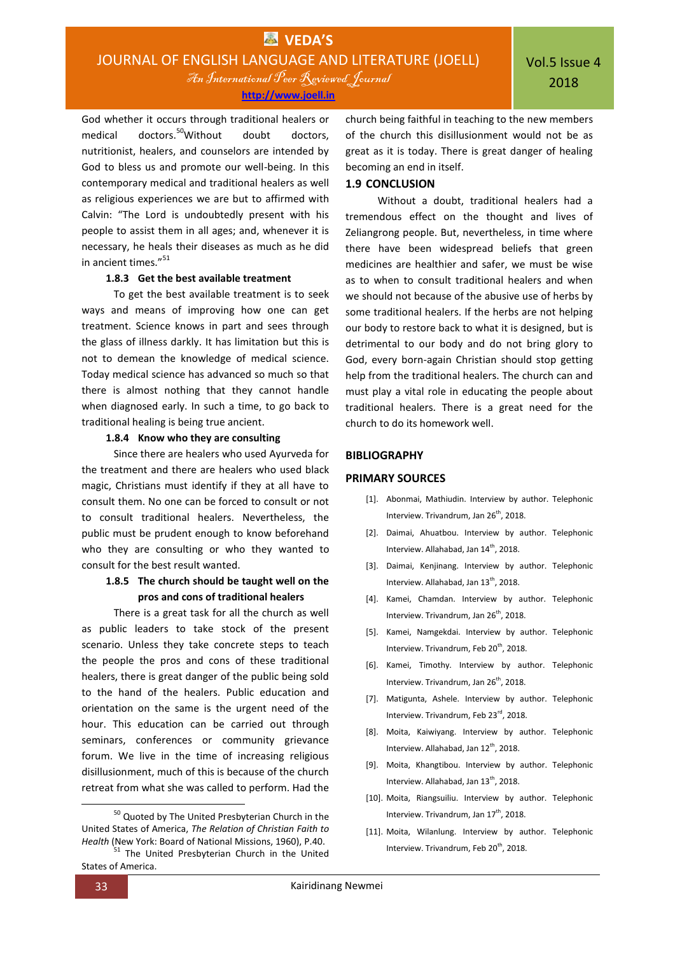God whether it occurs through traditional healers or medical doctors.<sup>50</sup>Without doubt doctors, nutritionist, healers, and counselors are intended by God to bless us and promote our well-being. In this contemporary medical and traditional healers as well as religious experiences we are but to affirmed with Calvin: "The Lord is undoubtedly present with his people to assist them in all ages; and, whenever it is necessary, he heals their diseases as much as he did

#### **1.8.3 Get the best available treatment**

in ancient times."<sup>51</sup>

To get the best available treatment is to seek ways and means of improving how one can get treatment. Science knows in part and sees through the glass of illness darkly. It has limitation but this is not to demean the knowledge of medical science. Today medical science has advanced so much so that there is almost nothing that they cannot handle when diagnosed early. In such a time, to go back to traditional healing is being true ancient.

#### **1.8.4 Know who they are consulting**

Since there are healers who used Ayurveda for the treatment and there are healers who used black magic, Christians must identify if they at all have to consult them. No one can be forced to consult or not to consult traditional healers. Nevertheless, the public must be prudent enough to know beforehand who they are consulting or who they wanted to consult for the best result wanted.

## **1.8.5 The church should be taught well on the pros and cons of traditional healers**

There is a great task for all the church as well as public leaders to take stock of the present scenario. Unless they take concrete steps to teach the people the pros and cons of these traditional healers, there is great danger of the public being sold to the hand of the healers. Public education and orientation on the same is the urgent need of the hour. This education can be carried out through seminars, conferences or community grievance forum. We live in the time of increasing religious disillusionment, much of this is because of the church retreat from what she was called to perform. Had the

church being faithful in teaching to the new members of the church this disillusionment would not be as great as it is today. There is great danger of healing becoming an end in itself.

### **1.9 CONCLUSION**

Without a doubt, traditional healers had a tremendous effect on the thought and lives of Zeliangrong people. But, nevertheless, in time where there have been widespread beliefs that green medicines are healthier and safer, we must be wise as to when to consult traditional healers and when we should not because of the abusive use of herbs by some traditional healers. If the herbs are not helping our body to restore back to what it is designed, but is detrimental to our body and do not bring glory to God, every born-again Christian should stop getting help from the traditional healers. The church can and must play a vital role in educating the people about traditional healers. There is a great need for the church to do its homework well.

#### **BIBLIOGRAPHY**

#### **PRIMARY SOURCES**

- [1]. Abonmai, Mathiudin. Interview by author. Telephonic Interview. Trivandrum, Jan 26<sup>th</sup>, 2018.
- [2]. Daimai, Ahuatbou. Interview by author. Telephonic Interview. Allahabad, Jan 14<sup>th</sup>, 2018.
- [3]. Daimai, Kenjinang. Interview by author. Telephonic Interview. Allahabad, Jan 13<sup>th</sup>, 2018.
- [4]. Kamei, Chamdan. Interview by author. Telephonic Interview. Trivandrum, Jan 26<sup>th</sup>, 2018.
- [5]. Kamei, Namgekdai. Interview by author. Telephonic Interview. Trivandrum, Feb 20<sup>th</sup>, 2018.
- [6]. Kamei, Timothy. Interview by author. Telephonic Interview. Trivandrum, Jan  $26^{th}$ , 2018.
- [7]. Matigunta, Ashele. Interview by author. Telephonic Interview. Trivandrum, Feb 23rd, 2018.
- [8]. Moita, Kaiwiyang. Interview by author. Telephonic Interview. Allahabad, Jan 12<sup>th</sup>, 2018.
- [9]. Moita, Khangtibou. Interview by author. Telephonic Interview. Allahabad, Jan 13<sup>th</sup>, 2018.
- [10]. Moita, Riangsuiliu. Interview by author. Telephonic Interview. Trivandrum, Jan 17<sup>th</sup>, 2018.
- [11]. Moita, Wilanlung. Interview by author. Telephonic Interview. Trivandrum, Feb 20<sup>th</sup>, 2018.

States of America.

**.** 

<sup>&</sup>lt;sup>50</sup> Quoted by The United Presbyterian Church in the United States of America, *The Relation of Christian Faith to Health* (New York: Board of National Missions, 1960), P.40. <sup>51</sup> The United Presbyterian Church in the United